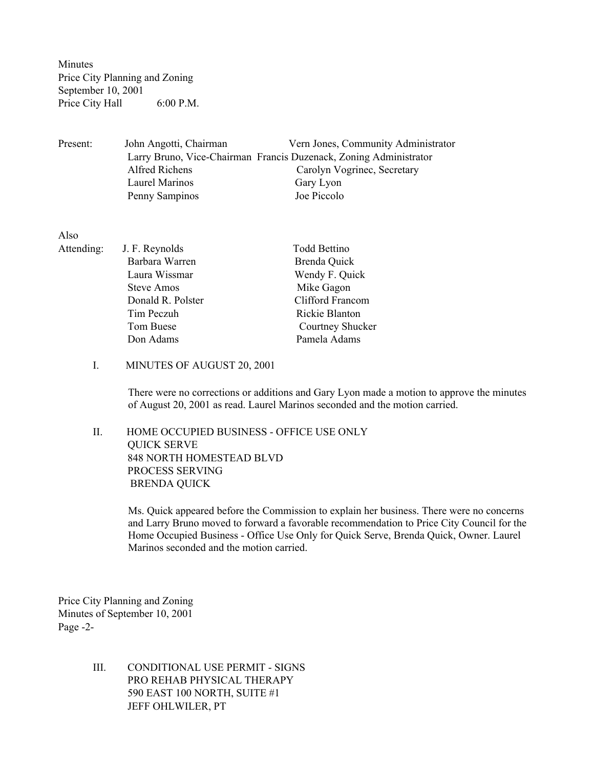Minutes Price City Planning and Zoning September 10, 2001 Price City Hall 6:00 P.M.

Present: John Angotti, Chairman Vern Jones, Community Administrator Larry Bruno, Vice-Chairman Francis Duzenack, Zoning Administrator Alfred Richens Carolyn Vogrinec, Secretary Laurel Marinos Gary Lyon Penny Sampinos Joe Piccolo

Also

| Attending: | J. F. Reynolds    | <b>Todd Bettino</b> |
|------------|-------------------|---------------------|
|            | Barbara Warren    | Brenda Quick        |
|            | Laura Wissmar     | Wendy F. Quick      |
|            | Steve Amos        | Mike Gagon          |
|            | Donald R. Polster | Clifford Francom    |
|            | Tim Peczuh        | Rickie Blanton      |
|            | Tom Buese         | Courtney Shucker    |
|            | Don Adams         | Pamela Adams        |

## I. MINUTES OF AUGUST 20, 2001

There were no corrections or additions and Gary Lyon made a motion to approve the minutes of August 20, 2001 as read. Laurel Marinos seconded and the motion carried.

 II. HOME OCCUPIED BUSINESS - OFFICE USE ONLY QUICK SERVE 848 NORTH HOMESTEAD BLVD PROCESS SERVING BRENDA QUICK

> Ms. Quick appeared before the Commission to explain her business. There were no concerns and Larry Bruno moved to forward a favorable recommendation to Price City Council for the Home Occupied Business - Office Use Only for Quick Serve, Brenda Quick, Owner. Laurel Marinos seconded and the motion carried.

Price City Planning and Zoning Minutes of September 10, 2001 Page -2-

> III. CONDITIONAL USE PERMIT - SIGNS PRO REHAB PHYSICAL THERAPY 590 EAST 100 NORTH, SUITE #1 JEFF OHLWILER, PT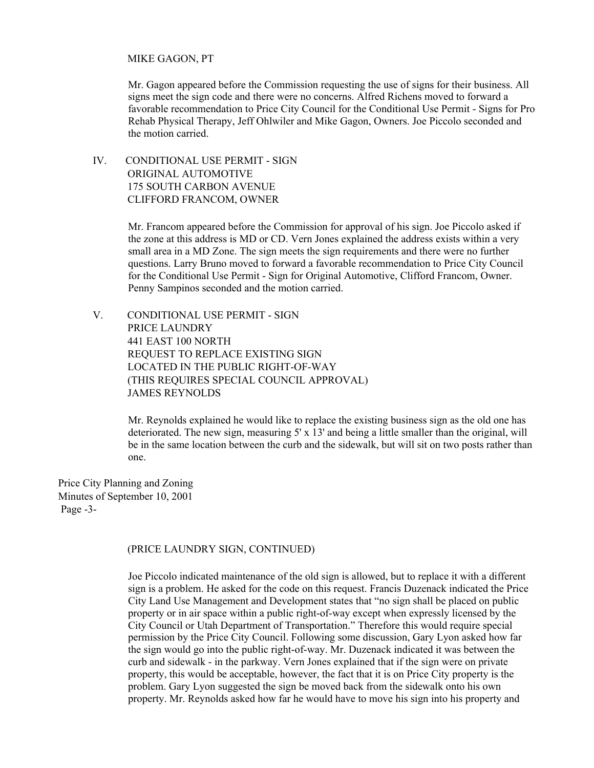## MIKE GAGON, PT

Mr. Gagon appeared before the Commission requesting the use of signs for their business. All signs meet the sign code and there were no concerns. Alfred Richens moved to forward a favorable recommendation to Price City Council for the Conditional Use Permit - Signs for Pro Rehab Physical Therapy, Jeff Ohlwiler and Mike Gagon, Owners. Joe Piccolo seconded and the motion carried.

 IV. CONDITIONAL USE PERMIT - SIGN ORIGINAL AUTOMOTIVE 175 SOUTH CARBON AVENUE CLIFFORD FRANCOM, OWNER

> Mr. Francom appeared before the Commission for approval of his sign. Joe Piccolo asked if the zone at this address is MD or CD. Vern Jones explained the address exists within a very small area in a MD Zone. The sign meets the sign requirements and there were no further questions. Larry Bruno moved to forward a favorable recommendation to Price City Council for the Conditional Use Permit - Sign for Original Automotive, Clifford Francom, Owner. Penny Sampinos seconded and the motion carried.

 V. CONDITIONAL USE PERMIT - SIGN PRICE LAUNDRY 441 EAST 100 NORTH REQUEST TO REPLACE EXISTING SIGN LOCATED IN THE PUBLIC RIGHT-OF-WAY (THIS REQUIRES SPECIAL COUNCIL APPROVAL) JAMES REYNOLDS

> Mr. Reynolds explained he would like to replace the existing business sign as the old one has deteriorated. The new sign, measuring 5' x 13' and being a little smaller than the original, will be in the same location between the curb and the sidewalk, but will sit on two posts rather than one.

Price City Planning and Zoning Minutes of September 10, 2001 Page -3-

## (PRICE LAUNDRY SIGN, CONTINUED)

Joe Piccolo indicated maintenance of the old sign is allowed, but to replace it with a different sign is a problem. He asked for the code on this request. Francis Duzenack indicated the Price City Land Use Management and Development states that "no sign shall be placed on public property or in air space within a public right-of-way except when expressly licensed by the City Council or Utah Department of Transportation." Therefore this would require special permission by the Price City Council. Following some discussion, Gary Lyon asked how far the sign would go into the public right-of-way. Mr. Duzenack indicated it was between the curb and sidewalk - in the parkway. Vern Jones explained that if the sign were on private property, this would be acceptable, however, the fact that it is on Price City property is the problem. Gary Lyon suggested the sign be moved back from the sidewalk onto his own property. Mr. Reynolds asked how far he would have to move his sign into his property and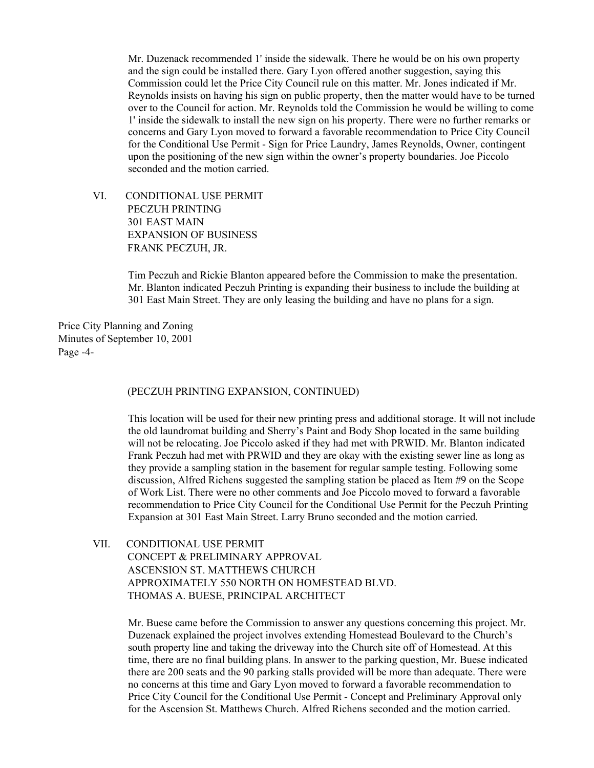Mr. Duzenack recommended 1' inside the sidewalk. There he would be on his own property and the sign could be installed there. Gary Lyon offered another suggestion, saying this Commission could let the Price City Council rule on this matter. Mr. Jones indicated if Mr. Reynolds insists on having his sign on public property, then the matter would have to be turned over to the Council for action. Mr. Reynolds told the Commission he would be willing to come 1' inside the sidewalk to install the new sign on his property. There were no further remarks or concerns and Gary Lyon moved to forward a favorable recommendation to Price City Council for the Conditional Use Permit - Sign for Price Laundry, James Reynolds, Owner, contingent upon the positioning of the new sign within the owner's property boundaries. Joe Piccolo seconded and the motion carried.

 VI. CONDITIONAL USE PERMIT PECZUH PRINTING 301 EAST MAIN EXPANSION OF BUSINESS FRANK PECZUH, JR.

> Tim Peczuh and Rickie Blanton appeared before the Commission to make the presentation. Mr. Blanton indicated Peczuh Printing is expanding their business to include the building at 301 East Main Street. They are only leasing the building and have no plans for a sign.

Price City Planning and Zoning Minutes of September 10, 2001 Page -4-

(PECZUH PRINTING EXPANSION, CONTINUED)

This location will be used for their new printing press and additional storage. It will not include the old laundromat building and Sherry's Paint and Body Shop located in the same building will not be relocating. Joe Piccolo asked if they had met with PRWID. Mr. Blanton indicated Frank Peczuh had met with PRWID and they are okay with the existing sewer line as long as they provide a sampling station in the basement for regular sample testing. Following some discussion, Alfred Richens suggested the sampling station be placed as Item #9 on the Scope of Work List. There were no other comments and Joe Piccolo moved to forward a favorable recommendation to Price City Council for the Conditional Use Permit for the Peczuh Printing Expansion at 301 East Main Street. Larry Bruno seconded and the motion carried.

 VII. CONDITIONAL USE PERMIT CONCEPT & PRELIMINARY APPROVAL ASCENSION ST. MATTHEWS CHURCH APPROXIMATELY 550 NORTH ON HOMESTEAD BLVD. THOMAS A. BUESE, PRINCIPAL ARCHITECT

> Mr. Buese came before the Commission to answer any questions concerning this project. Mr. Duzenack explained the project involves extending Homestead Boulevard to the Church's south property line and taking the driveway into the Church site off of Homestead. At this time, there are no final building plans. In answer to the parking question, Mr. Buese indicated there are 200 seats and the 90 parking stalls provided will be more than adequate. There were no concerns at this time and Gary Lyon moved to forward a favorable recommendation to Price City Council for the Conditional Use Permit - Concept and Preliminary Approval only for the Ascension St. Matthews Church. Alfred Richens seconded and the motion carried.